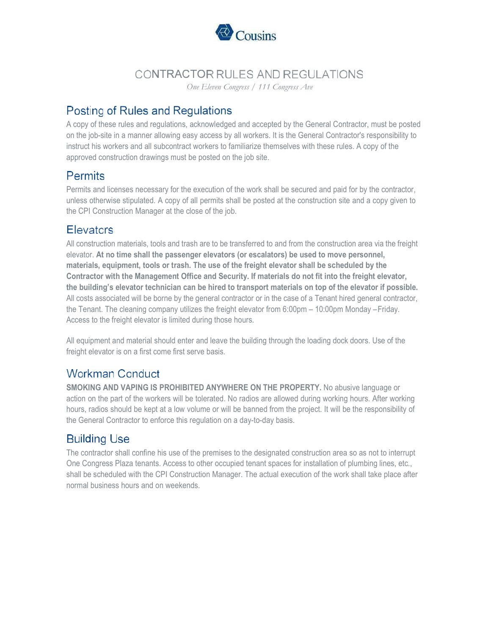

# CONTRACTOR RULES AND REGULATIONS

One Eleven Congress / 111 Congress Ave

# Posting of Rules and Regulations

A copy of these rules and regulations, acknowledged and accepted by the General Contractor, must be posted on the job-site in a manner allowing easy access by all workers. It is the General Contractor's responsibility to instruct his workers and all subcontract workers to familiarize themselves with these rules. A copy of the approved construction drawings must be posted on the job site.

## **Permits**

Permits and licenses necessary for the execution of the work shall be secured and paid for by the contractor, unless otherwise stipulated. A copy of all permits shall be posted at the construction site and a copy given to the CPI Construction Manager at the close of the job.

## **Elevators**

All construction materials, tools and trash are to be transferred to and from the construction area via the freight elevator. At no time shall the passenger elevators (or escalators) be used to move personnel, materials, equipment, tools or trash. The use of the freight elevator shall be scheduled by the Contractor with the Management Office and Security. If materials do not fit into the freight elevator, the building's elevator technician can be hired to transport materials on top of the elevator if possible. All costs associated will be borne by the general contractor or in the case of a Tenant hired general contractor, the Tenant. The cleaning company utilizes the freight elevator from 6:00pm – 10:00pm Monday – Friday. Access to the freight elevator is limited during those hours.

All equipment and material should enter and leave the building through the loading dock doors. Use of the freight elevator is on a first come first serve basis.

## **Workman Conduct**

SMOKING AND VAPING IS PROHIBITED ANYWHERE ON THE PROPERTY. No abusive language or action on the part of the workers will be tolerated. No radios are allowed during working hours. After working hours, radios should be kept at a low volume or will be banned from the project. It will be the responsibility of the General Contractor to enforce this regulation on a day-to-day basis.

# **Building Use**

The contractor shall confine his use of the premises to the designated construction area so as not to interrupt One Congress Plaza tenants. Access to other occupied tenant spaces for installation of plumbing lines, etc., shall be scheduled with the CPI Construction Manager. The actual execution of the work shall take place after normal business hours and on weekends.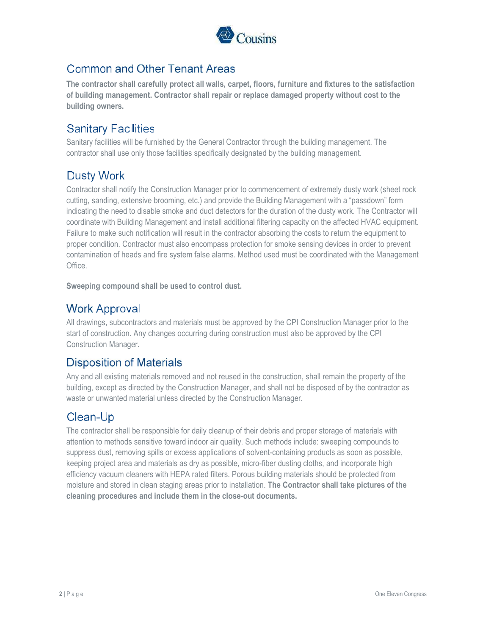

## **Common and Other Tenant Areas**

The contractor shall carefully protect all walls, carpet, floors, furniture and fixtures to the satisfaction of building management. Contractor shall repair or replace damaged property without cost to the building owners.

## **Sanitary Facilities**

Sanitary facilities will be furnished by the General Contractor through the building management. The contractor shall use only those facilities specifically designated by the building management.

# **Dusty Work**

Contractor shall notify the Construction Manager prior to commencement of extremely dusty work (sheet rock cutting, sanding, extensive brooming, etc.) and provide the Building Management with a "passdown" form indicating the need to disable smoke and duct detectors for the duration of the dusty work. The Contractor will coordinate with Building Management and install additional filtering capacity on the affected HVAC equipment. Failure to make such notification will result in the contractor absorbing the costs to return the equipment to proper condition. Contractor must also encompass protection for smoke sensing devices in order to prevent contamination of heads and fire system false alarms. Method used must be coordinated with the Management Office.

Sweeping compound shall be used to control dust.

## **Work Approval**

All drawings, subcontractors and materials must be approved by the CPI Construction Manager prior to the start of construction. Any changes occurring during construction must also be approved by the CPI Construction Manager.

## **Disposition of Materials**

Any and all existing materials removed and not reused in the construction, shall remain the property of the building, except as directed by the Construction Manager, and shall not be disposed of by the contractor as waste or unwanted material unless directed by the Construction Manager.

## Clean-Up

The contractor shall be responsible for daily cleanup of their debris and proper storage of materials with attention to methods sensitive toward indoor air quality. Such methods include: sweeping compounds to suppress dust, removing spills or excess applications of solvent-containing products as soon as possible, keeping project area and materials as dry as possible, micro-fiber dusting cloths, and incorporate high efficiency vacuum cleaners with HEPA rated filters. Porous building materials should be protected from moisture and stored in clean staging areas prior to installation. The Contractor shall take pictures of the cleaning procedures and include them in the close-out documents.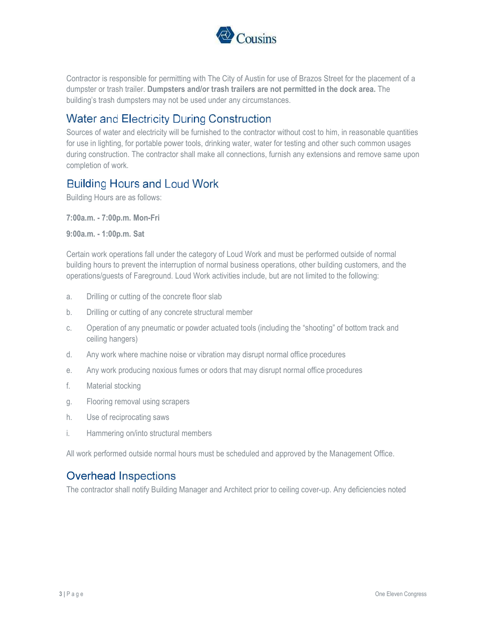

Contractor is responsible for permitting with The City of Austin for use of Brazos Street for the placement of a dumpster or trash trailer. Dumpsters and/or trash trailers are not permitted in the dock area. The building's trash dumpsters may not be used under any circumstances.

### **Water and Electricity During Construction**

Sources of water and electricity will be furnished to the contractor without cost to him, in reasonable quantities for use in lighting, for portable power tools, drinking water, water for testing and other such common usages during construction. The contractor shall make all connections, furnish any extensions and remove same upon completion of work.

#### **Building Hours and Loud Work**

Building Hours are as follows:

7:00a.m. - 7:00p.m. Mon-Fri

9:00a.m. - 1:00p.m. Sat

Certain work operations fall under the category of Loud Work and must be performed outside of normal building hours to prevent the interruption of normal business operations, other building customers, and the operations/guests of Fareground. Loud Work activities include, but are not limited to the following:

- a. Drilling or cutting of the concrete floor slab
- b. Drilling or cutting of any concrete structural member
- c. Operation of any pneumatic or powder actuated tools (including the "shooting" of bottom track and ceiling hangers)
- d. Any work where machine noise or vibration may disrupt normal office procedures
- e. Any work producing noxious fumes or odors that may disrupt normal office procedures
- f. Material stocking
- g. Flooring removal using scrapers
- h. Use of reciprocating saws
- i. Hammering on/into structural members

All work performed outside normal hours must be scheduled and approved by the Management Office.

## **Overhead Inspections**

The contractor shall notify Building Manager and Architect prior to ceiling cover-up. Any deficiencies noted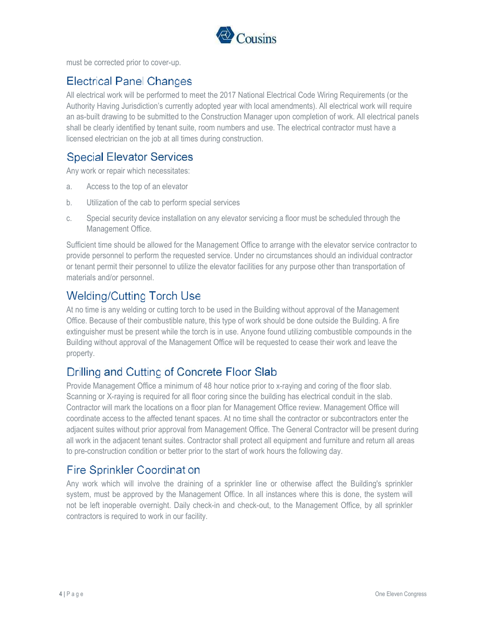

must be corrected prior to cover-up.

## **Electrical Panel Changes**

All electrical work will be performed to meet the 2017 National Electrical Code Wiring Requirements (or the Authority Having Jurisdiction's currently adopted year with local amendments). All electrical work will require an as-built drawing to be submitted to the Construction Manager upon completion of work. All electrical panels shall be clearly identified by tenant suite, room numbers and use. The electrical contractor must have a licensed electrician on the job at all times during construction.

## **Special Elevator Services**

Any work or repair which necessitates:

- a. Access to the top of an elevator
- b. Utilization of the cab to perform special services
- c. Special security device installation on any elevator servicing a floor must be scheduled through the Management Office.

Sufficient time should be allowed for the Management Office to arrange with the elevator service contractor to provide personnel to perform the requested service. Under no circumstances should an individual contractor or tenant permit their personnel to utilize the elevator facilities for any purpose other than transportation of materials and/or personnel.

# **Welding/Cutting Torch Use**

At no time is any welding or cutting torch to be used in the Building without approval of the Management Office. Because of their combustible nature, this type of work should be done outside the Building. A fire extinguisher must be present while the torch is in use. Anyone found utilizing combustible compounds in the Building without approval of the Management Office will be requested to cease their work and leave the property.

## Drilling and Cutting of Concrete Floor Slab

Provide Management Office a minimum of 48 hour notice prior to x-raying and coring of the floor slab. Scanning or X-raying is required for all floor coring since the building has electrical conduit in the slab. Contractor will mark the locations on a floor plan for Management Office review. Management Office will coordinate access to the affected tenant spaces. At no time shall the contractor or subcontractors enter the adjacent suites without prior approval from Management Office. The General Contractor will be present during all work in the adjacent tenant suites. Contractor shall protect all equipment and furniture and return all areas to pre-construction condition or better prior to the start of work hours the following day.

## **Fire Sprinkler Coordination**

Any work which will involve the draining of a sprinkler line or otherwise affect the Building's sprinkler system, must be approved by the Management Office. In all instances where this is done, the system will not be left inoperable overnight. Daily check-in and check-out, to the Management Office, by all sprinkler contractors is required to work in our facility.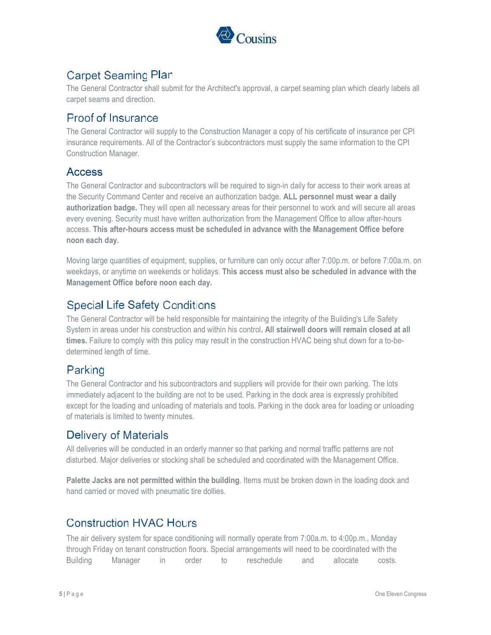

# **Carpet Seaming Plan**

The General Contractor shall submit for the Architect's approval, a carpet seaming plan which clearly labels all carpet seams and direction.

### **Proof of Insurance**

The General Contractor will supply to the Construction Manager a copy of his certificate of insurance per CPI insurance requirements. All of the Contractor's subcontractors must supply the same information to the CPI Construction Manager.

#### **Access**

The General Contractor and subcontractors will be required to sign-in daily for access to their work areas at the Security Command Center and receive an authorization badge. ALL personnel must wear a daily authorization badge. They will open all necessary areas for their personnel to work and will secure all areas every evening. Security must have written authorization from the Management Office to allow after-hours access. This after-hours access must be scheduled in advance with the Management Office before noon each day.

Moving large quantities of equipment, supplies, or furniture can only occur after 7:00p.m. or before 7:00a.m. on weekdays, or anytime on weekends or holidays. This access must also be scheduled in advance with the Management Office before noon each day.

## **Special Life Safety Conditions**

The General Contractor will be held responsible for maintaining the integrity of the Building's Life Safety System in areas under his construction and within his control. All stairwell doors will remain closed at all times. Failure to comply with this policy may result in the construction HVAC being shut down for a to-bedetermined length of time.

## Parking

The General Contractor and his subcontractors and suppliers will provide for their own parking. The lots immediately adjacent to the building are not to be used. Parking in the dock area is expressly prohibited except for the loading and unloading of materials and tools. Parking in the dock area for loading or unloading of materials is limited to twenty minutes.

#### **Delivery of Materials**

All deliveries will be conducted in an orderly manner so that parking and normal traffic patterns are not disturbed. Major deliveries or stocking shall be scheduled and coordinated with the Management Office.

Palette Jacks are not permitted within the building. Items must be broken down in the loading dock and hand carried or moved with pneumatic tire dollies.

## **Construction HVAC Hours**

The air delivery system for space conditioning will normally operate from 7:00a.m. to 4:00p.m., Monday through Friday on tenant construction floors. Special arrangements will need to be coordinated with the Building Manager in order to reschedule and allocate costs.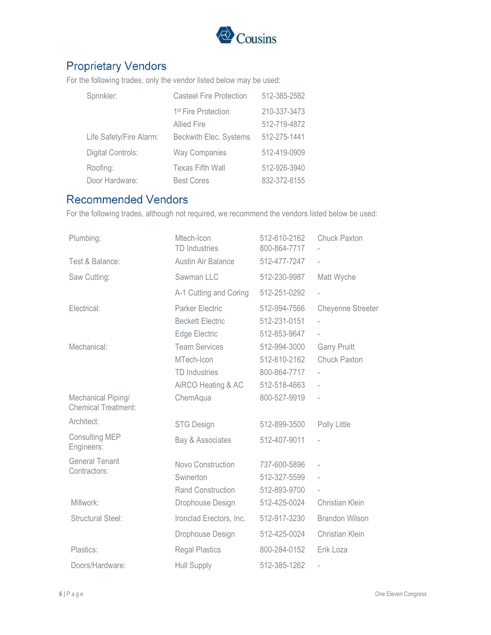

# **Proprietary Vendors**

For the following trades, only the vendor listed below may be used:

| Sprinkler:               | <b>Casteel Fire Protection</b>  | 512-385-2582 |
|--------------------------|---------------------------------|--------------|
|                          | 1 <sup>st</sup> Fire Protection | 210-337-3473 |
|                          | <b>Allied Fire</b>              | 512-719-4872 |
| Life Safety/Fire Alarm:  | Beckwith Elec. Systems          | 512-275-1441 |
| <b>Digital Controls:</b> | <b>Way Companies</b>            | 512-419-0909 |
| Roofing:                 | <b>Texas Fifth Wall</b>         | 512-926-3940 |
| Door Hardware:           | <b>Best Cores</b>               | 832-372-8155 |

## **Recommended Vendors**

For the following trades, although not required, we recommend the vendors listed below be used:

| Plumbing:                                        | Mtech-Icon<br><b>TD</b> Industries | 512-610-2162<br>800-864-7717 | <b>Chuck Paxton</b>      |
|--------------------------------------------------|------------------------------------|------------------------------|--------------------------|
| Test & Balance:                                  | Austin Air Balance                 | 512-477-7247                 |                          |
| Saw Cutting:                                     | Sawman LLC                         | 512-230-9987                 | Matt Wyche               |
|                                                  | A-1 Cutting and Coring             | 512-251-0292                 |                          |
| Electrical:                                      | <b>Parker Electric</b>             | 512-994-7566                 | <b>Cheyenne Streeter</b> |
|                                                  | <b>Beckett Electric</b>            | 512-231-0151                 |                          |
|                                                  | Edge Electric                      | 512-853-9647                 | $\overline{a}$           |
| Mechanical:                                      | <b>Team Services</b>               | 512-994-3000                 | <b>Garry Pruitt</b>      |
|                                                  | MTech-Icon                         | 512-610-2162                 | <b>Chuck Paxton</b>      |
|                                                  | <b>TD</b> Industries               | 800-864-7717                 |                          |
|                                                  | AiRCO Heating & AC                 | 512-518-4663                 |                          |
| Mechanical Piping/<br><b>Chemical Treatment:</b> | ChemAqua                           | 800-527-9919                 |                          |
| Architect:                                       | <b>STG Design</b>                  | 512-899-3500                 | Polly Little             |
| <b>Consulting MEP</b><br>Engineers:              | Bay & Associates                   | 512-407-9011                 |                          |
| <b>General Tenant</b><br>Contractors:            | Novo Construction                  | 737-600-5896                 |                          |
|                                                  | Swinerton                          | 512-327-5599                 | $\overline{\phantom{a}}$ |
|                                                  | <b>Rand Construction</b>           | 512-893-9700                 |                          |
| Millwork:                                        | Drophouse Design                   | 512-425-0024                 | Christian Klein          |
| <b>Structural Steel:</b>                         | Ironclad Erectors, Inc.            | 512-917-3230                 | <b>Brandon Wilson</b>    |
|                                                  | Drophouse Design                   | 512-425-0024                 | Christian Klein          |
| Plastics:                                        | <b>Regal Plastics</b>              | 800-284-0152                 | Erik Loza                |
| Doors/Hardware:                                  | <b>Hull Supply</b>                 | 512-385-1262                 |                          |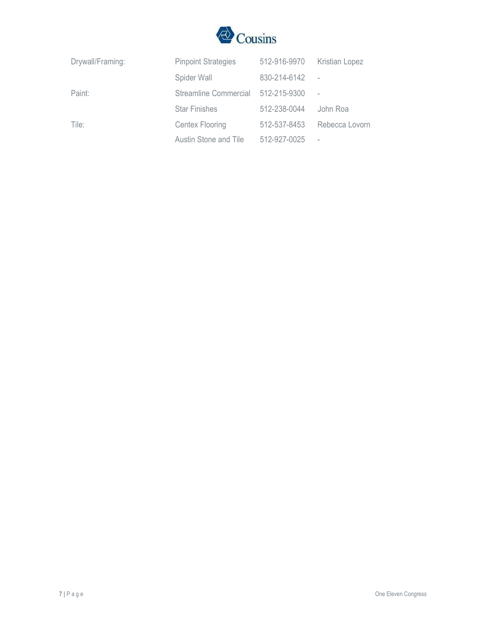

| Drywall/Framing: | <b>Pinpoint Strategies</b> | 512-916-9970 | <b>Kristian Lopez</b>    |
|------------------|----------------------------|--------------|--------------------------|
|                  | Spider Wall                | 830-214-6142 | $\sim$ $-$               |
| Paint:           | Streamline Commercial      | 512-215-9300 |                          |
|                  | <b>Star Finishes</b>       | 512-238-0044 | John Roa                 |
| Tile:            | Centex Flooring            | 512-537-8453 | Rebecca Lovorn           |
|                  | Austin Stone and Tile      | 512-927-0025 | $\overline{\phantom{a}}$ |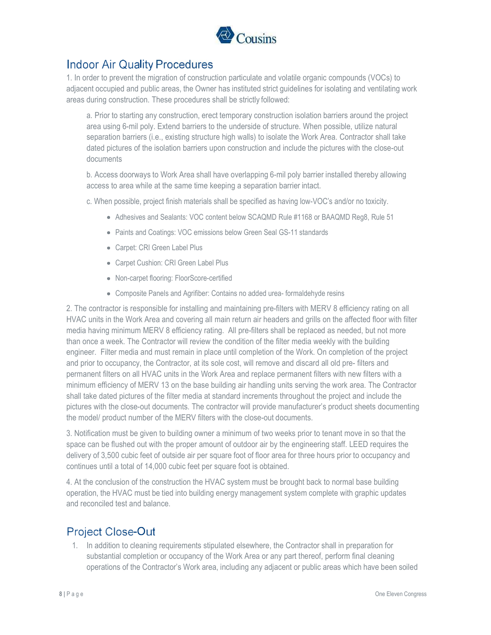

## **Indoor Air Quality Procedures**

1. In order to prevent the migration of construction particulate and volatile organic compounds (VOCs) to adjacent occupied and public areas, the Owner has instituted strict guidelines for isolating and ventilating work areas during construction. These procedures shall be strictly followed:

a. Prior to starting any construction, erect temporary construction isolation barriers around the project area using 6-mil poly. Extend barriers to the underside of structure. When possible, utilize natural separation barriers (i.e., existing structure high walls) to isolate the Work Area. Contractor shall take dated pictures of the isolation barriers upon construction and include the pictures with the close-out documents

b. Access doorways to Work Area shall have overlapping 6-mil poly barrier installed thereby allowing access to area while at the same time keeping a separation barrier intact.

c. When possible, project finish materials shall be specified as having low-VOC's and/or no toxicity.

- Adhesives and Sealants: VOC content below SCAQMD Rule #1168 or BAAQMD Reg8, Rule 51
- Paints and Coatings: VOC emissions below Green Seal GS-11 standards
- Carpet: CRI Green Label Plus
- Carpet Cushion: CRI Green Label Plus
- Non-carpet flooring: FloorScore-certified
- Composite Panels and Agrifiber: Contains no added urea- formaldehyde resins

2. The contractor is responsible for installing and maintaining pre-filters with MERV 8 efficiency rating on all HVAC units in the Work Area and covering all main return air headers and grills on the affected floor with filter media having minimum MERV 8 efficiency rating. All pre-filters shall be replaced as needed, but not more than once a week. The Contractor will review the condition of the filter media weekly with the building engineer. Filter media and must remain in place until completion of the Work. On completion of the project and prior to occupancy, the Contractor, at its sole cost, will remove and discard all old pre- filters and permanent filters on all HVAC units in the Work Area and replace permanent filters with new filters with a minimum efficiency of MERV 13 on the base building air handling units serving the work area. The Contractor shall take dated pictures of the filter media at standard increments throughout the project and include the pictures with the close-out documents. The contractor will provide manufacturer's product sheets documenting the model/ product number of the MERV filters with the close-out documents.

3. Notification must be given to building owner a minimum of two weeks prior to tenant move in so that the space can be flushed out with the proper amount of outdoor air by the engineering staff. LEED requires the delivery of 3,500 cubic feet of outside air per square foot of floor area for three hours prior to occupancy and continues until a total of 14,000 cubic feet per square foot is obtained.

4. At the conclusion of the construction the HVAC system must be brought back to normal base building operation, the HVAC must be tied into building energy management system complete with graphic updates and reconciled test and balance.

## **Project Close-Out**

1. In addition to cleaning requirements stipulated elsewhere, the Contractor shall in preparation for substantial completion or occupancy of the Work Area or any part thereof, perform final cleaning operations of the Contractor's Work area, including any adjacent or public areas which have been soiled